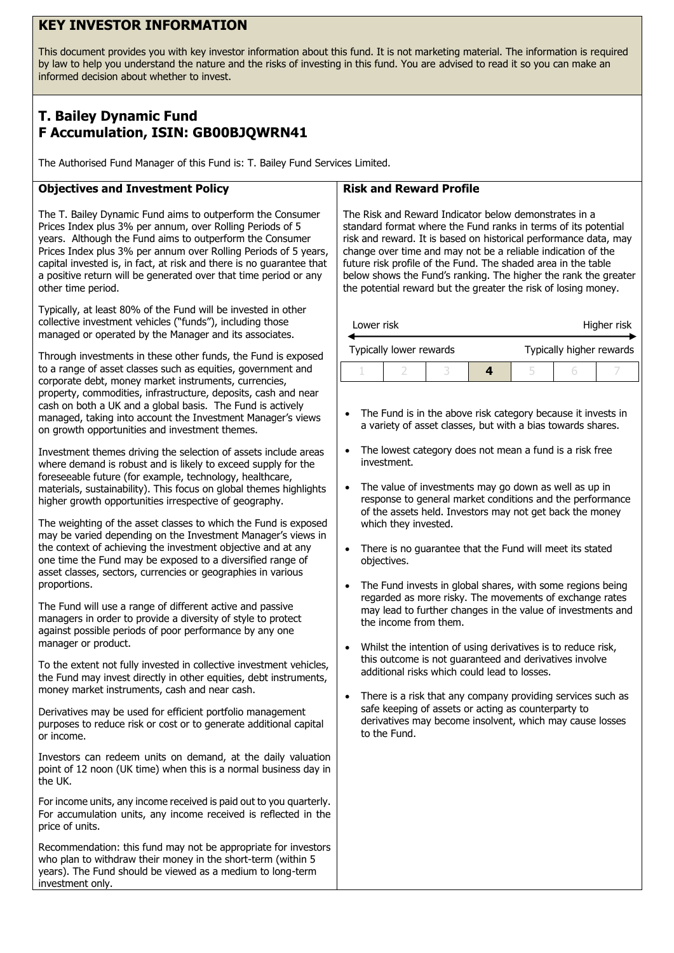## **KEY INVESTOR INFORMATION**

This document provides you with key investor information about this fund. It is not marketing material. The information is required by law to help you understand the nature and the risks of investing in this fund. You are advised to read it so you can make an informed decision about whether to invest.

# **T. Bailey Dynamic Fund F Accumulation, ISIN: GB00BJQWRN41**

The Authorised Fund Manager of this Fund is: T. Bailey Fund Services Limited.

## **Objectives and Investment Policy**

The T. Bailey Dynamic Fund aims to outperform the Consumer Prices Index plus 3% per annum, over Rolling Periods of 5 years. Although the Fund aims to outperform the Consumer Prices Index plus 3% per annum over Rolling Periods of 5 years, capital invested is, in fact, at risk and there is no guarantee that a positive return will be generated over that time period or any other time period.

Typically, at least 80% of the Fund will be invested in other collective investment vehicles ("funds"), including those managed or operated by the Manager and its associates.

Through investments in these other funds, the Fund is exposed to a range of asset classes such as equities, government and corporate debt, money market instruments, currencies, property, commodities, infrastructure, deposits, cash and near cash on both a UK and a global basis. The Fund is actively managed, taking into account the Investment Manager's views on growth opportunities and investment themes.

Investment themes driving the selection of assets include areas where demand is robust and is likely to exceed supply for the foreseeable future (for example, technology, healthcare, materials, sustainability). This focus on global themes highlights higher growth opportunities irrespective of geography.

The weighting of the asset classes to which the Fund is exposed may be varied depending on the Investment Manager's views in the context of achieving the investment objective and at any one time the Fund may be exposed to a diversified range of asset classes, sectors, currencies or geographies in various proportions.

The Fund will use a range of different active and passive managers in order to provide a diversity of style to protect against possible periods of poor performance by any one manager or product.

To the extent not fully invested in collective investment vehicles, the Fund may invest directly in other equities, debt instruments, money market instruments, cash and near cash.

Derivatives may be used for efficient portfolio management purposes to reduce risk or cost or to generate additional capital or income.

Investors can redeem units on demand, at the daily valuation point of 12 noon (UK time) when this is a normal business day in the UK.

For income units, any income received is paid out to you quarterly. For accumulation units, any income received is reflected in the price of units.

Recommendation: this fund may not be appropriate for investors who plan to withdraw their money in the short-term (within 5 years). The Fund should be viewed as a medium to long-term investment only.

#### **Risk and Reward Profile**

The Risk and Reward Indicator below demonstrates in a standard format where the Fund ranks in terms of its potential risk and reward. It is based on historical performance data, may change over time and may not be a reliable indication of the future risk profile of the Fund. The shaded area in the table below shows the Fund's ranking. The higher the rank the greater the potential reward but the greater the risk of losing money.

| Lower risk              |  |  | Higher risk |                          |  |  |
|-------------------------|--|--|-------------|--------------------------|--|--|
| Typically lower rewards |  |  |             | Typically higher rewards |  |  |
|                         |  |  |             |                          |  |  |

- The Fund is in the above risk category because it invests in a variety of asset classes, but with a bias towards shares.
- The lowest category does not mean a fund is a risk free investment.
- The value of investments may go down as well as up in response to general market conditions and the performance of the assets held. Investors may not get back the money which they invested.
- There is no guarantee that the Fund will meet its stated objectives.
- The Fund invests in global shares, with some regions being regarded as more risky. The movements of exchange rates may lead to further changes in the value of investments and the income from them.
- Whilst the intention of using derivatives is to reduce risk, this outcome is not guaranteed and derivatives involve additional risks which could lead to losses.
- There is a risk that any company providing services such as safe keeping of assets or acting as counterparty to derivatives may become insolvent, which may cause losses to the Fund.